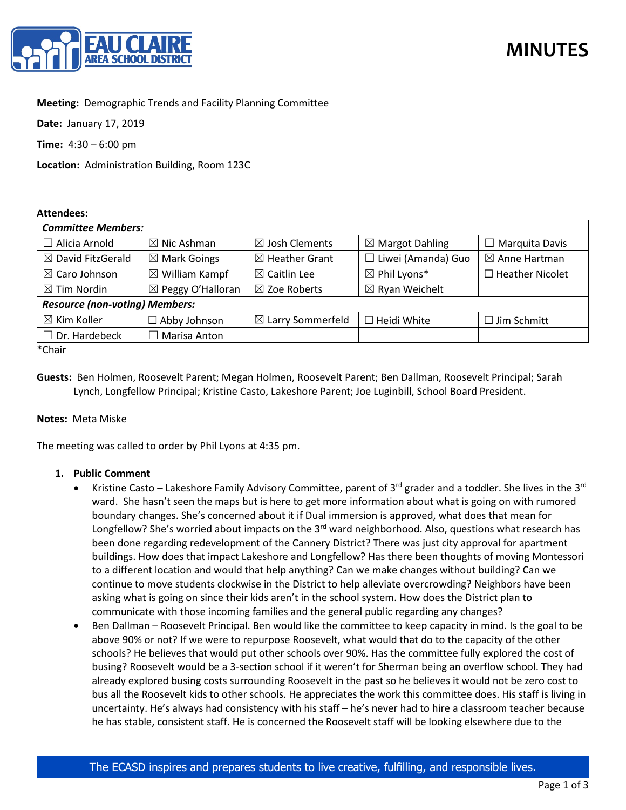

# **Meeting:** Demographic Trends and Facility Planning Committee

**Date:** January 17, 2019

**Time:** 4:30 – 6:00 pm

**Location:** Administration Building, Room 123C

#### **Attendees:**

| <b>Committee Members:</b>             |                              |                              |                            |                          |
|---------------------------------------|------------------------------|------------------------------|----------------------------|--------------------------|
| $\Box$ Alicia Arnold                  | $\boxtimes$ Nic Ashman       | $\boxtimes$ Josh Clements    | $\boxtimes$ Margot Dahling | $\Box$ Marquita Davis    |
| $\boxtimes$ David FitzGerald          | $\boxtimes$ Mark Goings      | $\boxtimes$ Heather Grant    | $\Box$ Liwei (Amanda) Guo  | $\boxtimes$ Anne Hartman |
| $\boxtimes$ Caro Johnson              | $\boxtimes$ William Kampf    | $\boxtimes$ Caitlin Lee      | $\boxtimes$ Phil Lyons*    | $\Box$ Heather Nicolet   |
| $\boxtimes$ Tim Nordin                | $\boxtimes$ Peggy O'Halloran | $\boxtimes$ Zoe Roberts      | $\boxtimes$ Ryan Weichelt  |                          |
| <b>Resource (non-voting) Members:</b> |                              |                              |                            |                          |
| $\boxtimes$ Kim Koller                | $\Box$ Abby Johnson          | $\boxtimes$ Larry Sommerfeld | $\Box$ Heidi White         | $\Box$ Jim Schmitt       |
| $\Box$ Dr. Hardebeck                  | $\Box$ Marisa Anton          |                              |                            |                          |

\*Chair

**Guests:** Ben Holmen, Roosevelt Parent; Megan Holmen, Roosevelt Parent; Ben Dallman, Roosevelt Principal; Sarah Lynch, Longfellow Principal; Kristine Casto, Lakeshore Parent; Joe Luginbill, School Board President.

### **Notes:** Meta Miske

The meeting was called to order by Phil Lyons at 4:35 pm.

### **1. Public Comment**

- Kristine Casto Lakeshore Family Advisory Committee, parent of  $3^{rd}$  grader and a toddler. She lives in the  $3^{rd}$ ward. She hasn't seen the maps but is here to get more information about what is going on with rumored boundary changes. She's concerned about it if Dual immersion is approved, what does that mean for Longfellow? She's worried about impacts on the 3<sup>rd</sup> ward neighborhood. Also, questions what research has been done regarding redevelopment of the Cannery District? There was just city approval for apartment buildings. How does that impact Lakeshore and Longfellow? Has there been thoughts of moving Montessori to a different location and would that help anything? Can we make changes without building? Can we continue to move students clockwise in the District to help alleviate overcrowding? Neighbors have been asking what is going on since their kids aren't in the school system. How does the District plan to communicate with those incoming families and the general public regarding any changes?
- Ben Dallman Roosevelt Principal. Ben would like the committee to keep capacity in mind. Is the goal to be above 90% or not? If we were to repurpose Roosevelt, what would that do to the capacity of the other schools? He believes that would put other schools over 90%. Has the committee fully explored the cost of busing? Roosevelt would be a 3-section school if it weren't for Sherman being an overflow school. They had already explored busing costs surrounding Roosevelt in the past so he believes it would not be zero cost to bus all the Roosevelt kids to other schools. He appreciates the work this committee does. His staff is living in uncertainty. He's always had consistency with his staff – he's never had to hire a classroom teacher because he has stable, consistent staff. He is concerned the Roosevelt staff will be looking elsewhere due to the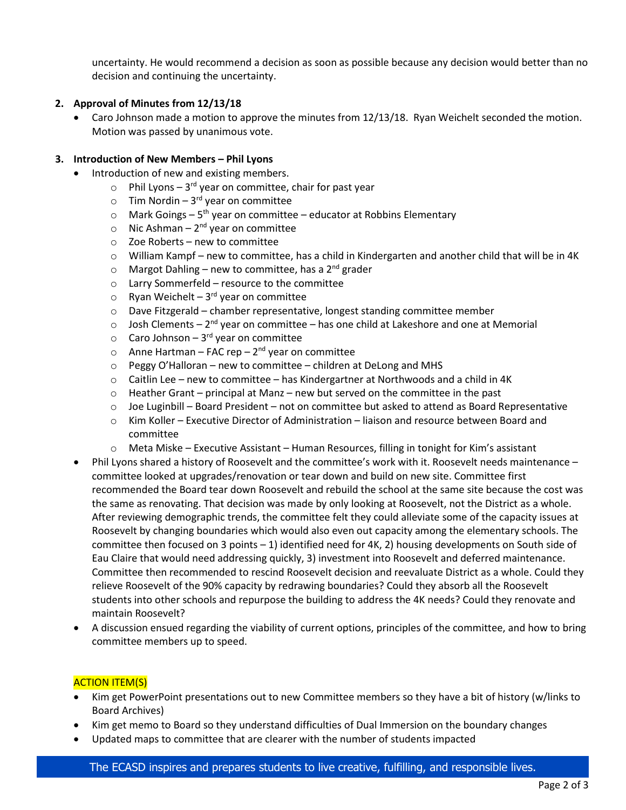uncertainty. He would recommend a decision as soon as possible because any decision would better than no decision and continuing the uncertainty.

# **2. Approval of Minutes from 12/13/18**

Caro Johnson made a motion to approve the minutes from 12/13/18. Ryan Weichelt seconded the motion. Motion was passed by unanimous vote.

### **3. Introduction of New Members – Phil Lyons**

- Introduction of new and existing members.
	- $\circ$  Phil Lyons 3<sup>rd</sup> year on committee, chair for past year
	- $\circ$  Tim Nordin 3<sup>rd</sup> year on committee
	- $\circ$  Mark Goings 5<sup>th</sup> year on committee educator at Robbins Elementary
	- o Nic Ashman  $2^{nd}$  year on committee
	- o Zoe Roberts new to committee
	- $\circ$  William Kampf new to committee, has a child in Kindergarten and another child that will be in 4K
	- $\circ$  Margot Dahling new to committee, has a 2<sup>nd</sup> grader
	- o Larry Sommerfeld resource to the committee
	- $\circ$  Ryan Weichelt 3<sup>rd</sup> year on committee
	- $\circ$  Dave Fitzgerald chamber representative, longest standing committee member
	- $\circ$  Josh Clements 2<sup>nd</sup> year on committee has one child at Lakeshore and one at Memorial
	- $\circ$  Caro Johnson 3<sup>rd</sup> year on committee
	- o Anne Hartman FAC rep  $2^{nd}$  year on committee
	- o Peggy O'Halloran new to committee children at DeLong and MHS
	- $\circ$  Caitlin Lee new to committee has Kindergartner at Northwoods and a child in 4K
	- $\circ$  Heather Grant principal at Manz new but served on the committee in the past
	- $\circ$  Joe Luginbill Board President not on committee but asked to attend as Board Representative
	- o Kim Koller Executive Director of Administration liaison and resource between Board and committee
	- o Meta Miske Executive Assistant Human Resources, filling in tonight for Kim's assistant
- Phil Lyons shared a history of Roosevelt and the committee's work with it. Roosevelt needs maintenance committee looked at upgrades/renovation or tear down and build on new site. Committee first recommended the Board tear down Roosevelt and rebuild the school at the same site because the cost was the same as renovating. That decision was made by only looking at Roosevelt, not the District as a whole. After reviewing demographic trends, the committee felt they could alleviate some of the capacity issues at Roosevelt by changing boundaries which would also even out capacity among the elementary schools. The committee then focused on 3 points – 1) identified need for 4K, 2) housing developments on South side of Eau Claire that would need addressing quickly, 3) investment into Roosevelt and deferred maintenance. Committee then recommended to rescind Roosevelt decision and reevaluate District as a whole. Could they relieve Roosevelt of the 90% capacity by redrawing boundaries? Could they absorb all the Roosevelt students into other schools and repurpose the building to address the 4K needs? Could they renovate and maintain Roosevelt?
- A discussion ensued regarding the viability of current options, principles of the committee, and how to bring committee members up to speed.

### ACTION ITEM(S)

- Kim get PowerPoint presentations out to new Committee members so they have a bit of history (w/links to Board Archives)
- Kim get memo to Board so they understand difficulties of Dual Immersion on the boundary changes
- Updated maps to committee that are clearer with the number of students impacted